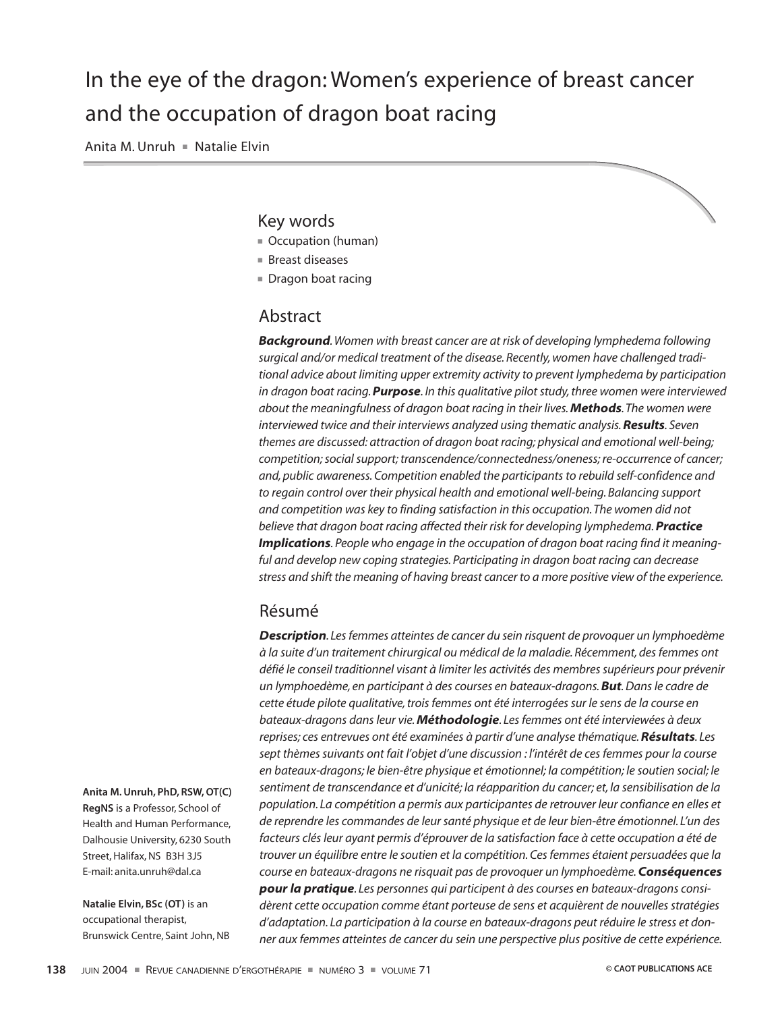# In the eye of the dragon: Women's experience of breast cancer and the occupation of dragon boat racing

Anita M. Unruh ■ Natalie Elvin

### Key words

- Occupation (human)
- Breast diseases
- Dragon boat racing

### Abstract

*Background. Women with breast cancer are at risk of developing lymphedema following surgical and/or medical treatment of the disease. Recently, women have challenged traditional advice about limiting upper extremity activity to prevent lymphedema by participation in dragon boat racing.Purpose. In this qualitative pilot study, three women were interviewed about the meaningfulness of dragon boat racing in their lives.Methods. The women were interviewed twice and their interviews analyzed using thematic analysis.Results. Seven themes are discussed: attraction of dragon boat racing; physical and emotional well-being; competition; social support; transcendence/connectedness/oneness; re-occurrence of cancer; and, public awareness. Competition enabled the participants to rebuild self-confidence and to regain control over their physical health and emotional well-being. Balancing support and competition was key to finding satisfaction in this occupation. The women did not believe that dragon boat racing affected their risk for developing lymphedema.Practice Implications. People who engage in the occupation of dragon boat racing find it meaningful and develop new coping strategies. Participating in dragon boat racing can decrease stress and shift the meaning of having breast cancer to a more positive view of the experience.*

### Résumé

*Description. Les femmes atteintes de cancer du sein risquent de provoquer un lymphoedème à la suite d'un traitement chirurgical ou médical de la maladie. Récemment, des femmes ont défié le conseil traditionnel visant à limiter les activités des membres supérieurs pour prévenir un lymphoedème, en participant à des courses en bateaux-dragons.But. Dans le cadre de cette étude pilote qualitative, trois femmes ont été interrogées sur le sens de la course en bateaux-dragons dans leur vie.Méthodologie. Les femmes ont été interviewées à deux reprises; ces entrevues ont été examinées à partir d'une analyse thématique.Résultats. Les sept thèmes suivants ont fait l'objet d'une discussion : l'intérêt de ces femmes pour la course en bateaux-dragons; le bien-être physique et émotionnel; la compétition; le soutien social; le sentiment de transcendance et d'unicité; la réapparition du cancer; et, la sensibilisation de la population. La compétition a permis aux participantes de retrouver leur confiance en elles et de reprendre les commandes de leur santé physique et de leur bien-être émotionnel. L'un des facteurs clés leur ayant permis d'éprouver de la satisfaction face à cette occupation a été de trouver un équilibre entre le soutien et la compétition. Ces femmes étaient persuadées que la course en bateaux-dragons ne risquait pas de provoquer un lymphoedème.Conséquences pour la pratique. Les personnes qui participent à des courses en bateaux-dragons considèrent cette occupation comme étant porteuse de sens et acquièrent de nouvelles stratégies d'adaptation. La participation à la course en bateaux-dragons peut réduire le stress et donner aux femmes atteintes de cancer du sein une perspective plus positive de cette expérience.*

#### **Anita M. Unruh, PhD, RSW, OT(C)**

**RegNS** is a Professor, School of Health and Human Performance, Dalhousie University, 6230 South Street, Halifax, NS B3H 3J5 E-mail: anita.unruh@dal.ca

**Natalie Elvin, BSc (OT)** is an occupational therapist, Brunswick Centre, Saint John, NB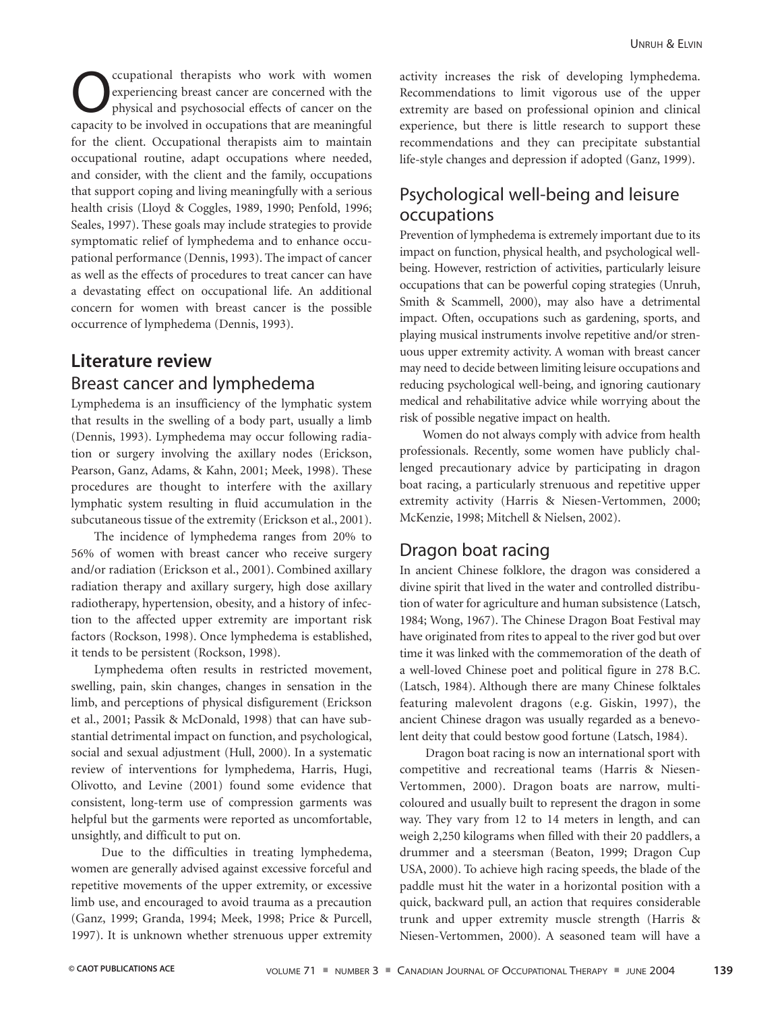Comparisonal therapists who work with women<br>experiencing breast cancer are concerned with the<br>physical and psychosocial effects of cancer on the<br>magnitude being by the comparison of the magnitude of experiencing breast cancer are concerned with the physical and psychosocial effects of cancer on the capacity to be involved in occupations that are meaningful for the client. Occupational therapists aim to maintain occupational routine, adapt occupations where needed, and consider, with the client and the family, occupations that support coping and living meaningfully with a serious health crisis (Lloyd & Coggles, 1989, 1990; Penfold, 1996; Seales, 1997). These goals may include strategies to provide symptomatic relief of lymphedema and to enhance occupational performance (Dennis, 1993). The impact of cancer as well as the effects of procedures to treat cancer can have a devastating effect on occupational life. An additional concern for women with breast cancer is the possible occurrence of lymphedema (Dennis, 1993).

## **Literature review** Breast cancer and lymphedema

Lymphedema is an insufficiency of the lymphatic system that results in the swelling of a body part, usually a limb (Dennis, 1993). Lymphedema may occur following radiation or surgery involving the axillary nodes (Erickson, Pearson, Ganz, Adams, & Kahn, 2001; Meek, 1998). These procedures are thought to interfere with the axillary lymphatic system resulting in fluid accumulation in the subcutaneous tissue of the extremity (Erickson et al., 2001).

The incidence of lymphedema ranges from 20% to 56% of women with breast cancer who receive surgery and/or radiation (Erickson et al., 2001). Combined axillary radiation therapy and axillary surgery, high dose axillary radiotherapy, hypertension, obesity, and a history of infection to the affected upper extremity are important risk factors (Rockson, 1998). Once lymphedema is established, it tends to be persistent (Rockson, 1998).

Lymphedema often results in restricted movement, swelling, pain, skin changes, changes in sensation in the limb, and perceptions of physical disfigurement (Erickson et al., 2001; Passik & McDonald, 1998) that can have substantial detrimental impact on function, and psychological, social and sexual adjustment (Hull, 2000). In a systematic review of interventions for lymphedema, Harris, Hugi, Olivotto, and Levine (2001) found some evidence that consistent, long-term use of compression garments was helpful but the garments were reported as uncomfortable, unsightly, and difficult to put on.

Due to the difficulties in treating lymphedema, women are generally advised against excessive forceful and repetitive movements of the upper extremity, or excessive limb use, and encouraged to avoid trauma as a precaution (Ganz, 1999; Granda, 1994; Meek, 1998; Price & Purcell, 1997). It is unknown whether strenuous upper extremity

activity increases the risk of developing lymphedema. Recommendations to limit vigorous use of the upper extremity are based on professional opinion and clinical experience, but there is little research to support these recommendations and they can precipitate substantial life-style changes and depression if adopted (Ganz, 1999).

## Psychological well-being and leisure occupations

Prevention of lymphedema is extremely important due to its impact on function, physical health, and psychological wellbeing. However, restriction of activities, particularly leisure occupations that can be powerful coping strategies (Unruh, Smith & Scammell, 2000), may also have a detrimental impact. Often, occupations such as gardening, sports, and playing musical instruments involve repetitive and/or strenuous upper extremity activity. A woman with breast cancer may need to decide between limiting leisure occupations and reducing psychological well-being, and ignoring cautionary medical and rehabilitative advice while worrying about the risk of possible negative impact on health.

Women do not always comply with advice from health professionals. Recently, some women have publicly challenged precautionary advice by participating in dragon boat racing, a particularly strenuous and repetitive upper extremity activity (Harris & Niesen-Vertommen, 2000; McKenzie, 1998; Mitchell & Nielsen, 2002).

## Dragon boat racing

In ancient Chinese folklore, the dragon was considered a divine spirit that lived in the water and controlled distribution of water for agriculture and human subsistence (Latsch, 1984; Wong, 1967). The Chinese Dragon Boat Festival may have originated from rites to appeal to the river god but over time it was linked with the commemoration of the death of a well-loved Chinese poet and political figure in 278 B.C. (Latsch, 1984). Although there are many Chinese folktales featuring malevolent dragons (e.g. Giskin, 1997), the ancient Chinese dragon was usually regarded as a benevolent deity that could bestow good fortune (Latsch, 1984).

Dragon boat racing is now an international sport with competitive and recreational teams (Harris & Niesen-Vertommen, 2000). Dragon boats are narrow, multicoloured and usually built to represent the dragon in some way. They vary from 12 to 14 meters in length, and can weigh 2,250 kilograms when filled with their 20 paddlers, a drummer and a steersman (Beaton, 1999; Dragon Cup USA, 2000). To achieve high racing speeds, the blade of the paddle must hit the water in a horizontal position with a quick, backward pull, an action that requires considerable trunk and upper extremity muscle strength (Harris & Niesen-Vertommen, 2000). A seasoned team will have a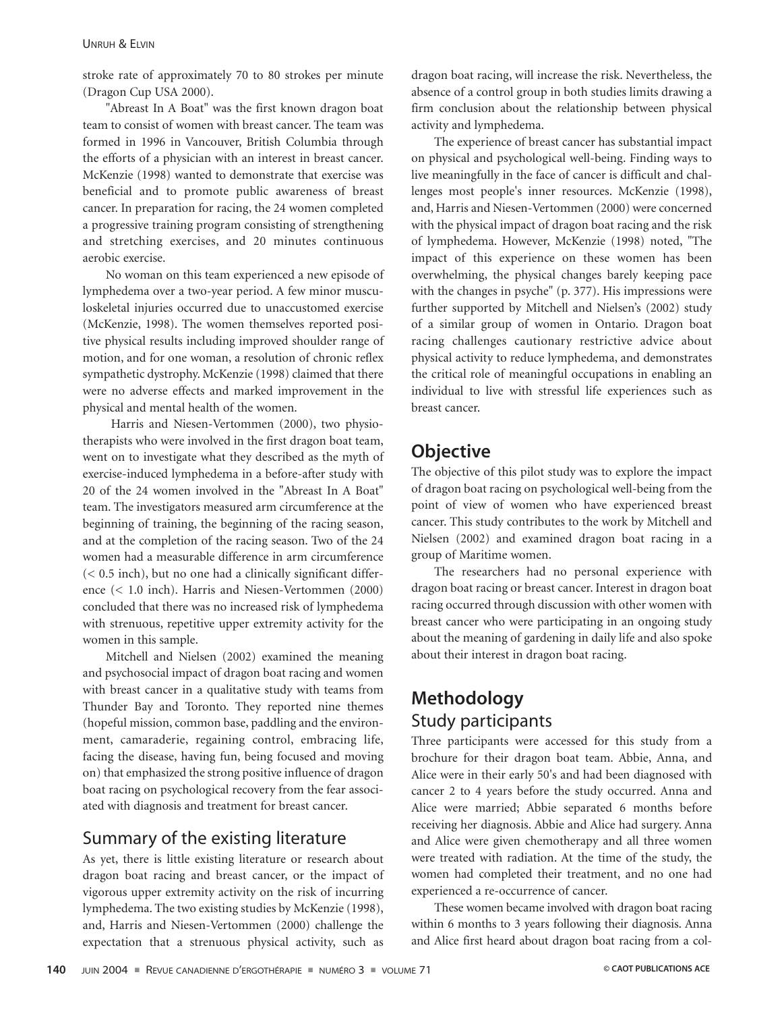stroke rate of approximately 70 to 80 strokes per minute (Dragon Cup USA 2000).

"Abreast In A Boat" was the first known dragon boat team to consist of women with breast cancer. The team was formed in 1996 in Vancouver, British Columbia through the efforts of a physician with an interest in breast cancer. McKenzie (1998) wanted to demonstrate that exercise was beneficial and to promote public awareness of breast cancer. In preparation for racing, the 24 women completed a progressive training program consisting of strengthening and stretching exercises, and 20 minutes continuous aerobic exercise.

No woman on this team experienced a new episode of lymphedema over a two-year period. A few minor musculoskeletal injuries occurred due to unaccustomed exercise (McKenzie, 1998). The women themselves reported positive physical results including improved shoulder range of motion, and for one woman, a resolution of chronic reflex sympathetic dystrophy. McKenzie (1998) claimed that there were no adverse effects and marked improvement in the physical and mental health of the women.

Harris and Niesen-Vertommen (2000), two physiotherapists who were involved in the first dragon boat team, went on to investigate what they described as the myth of exercise-induced lymphedema in a before-after study with 20 of the 24 women involved in the "Abreast In A Boat" team. The investigators measured arm circumference at the beginning of training, the beginning of the racing season, and at the completion of the racing season. Two of the 24 women had a measurable difference in arm circumference  $(< 0.5$  inch), but no one had a clinically significant difference (< 1.0 inch). Harris and Niesen-Vertommen (2000) concluded that there was no increased risk of lymphedema with strenuous, repetitive upper extremity activity for the women in this sample.

Mitchell and Nielsen (2002) examined the meaning and psychosocial impact of dragon boat racing and women with breast cancer in a qualitative study with teams from Thunder Bay and Toronto. They reported nine themes (hopeful mission, common base, paddling and the environment, camaraderie, regaining control, embracing life, facing the disease, having fun, being focused and moving on) that emphasized the strong positive influence of dragon boat racing on psychological recovery from the fear associated with diagnosis and treatment for breast cancer.

## Summary of the existing literature

As yet, there is little existing literature or research about dragon boat racing and breast cancer, or the impact of vigorous upper extremity activity on the risk of incurring lymphedema. The two existing studies by McKenzie (1998), and, Harris and Niesen-Vertommen (2000) challenge the expectation that a strenuous physical activity, such as

dragon boat racing, will increase the risk. Nevertheless, the absence of a control group in both studies limits drawing a firm conclusion about the relationship between physical activity and lymphedema.

The experience of breast cancer has substantial impact on physical and psychological well-being. Finding ways to live meaningfully in the face of cancer is difficult and challenges most people's inner resources. McKenzie (1998), and, Harris and Niesen-Vertommen (2000) were concerned with the physical impact of dragon boat racing and the risk of lymphedema. However, McKenzie (1998) noted, "The impact of this experience on these women has been overwhelming, the physical changes barely keeping pace with the changes in psyche" (p. 377). His impressions were further supported by Mitchell and Nielsen's (2002) study of a similar group of women in Ontario. Dragon boat racing challenges cautionary restrictive advice about physical activity to reduce lymphedema, and demonstrates the critical role of meaningful occupations in enabling an individual to live with stressful life experiences such as breast cancer.

## **Objective**

The objective of this pilot study was to explore the impact of dragon boat racing on psychological well-being from the point of view of women who have experienced breast cancer. This study contributes to the work by Mitchell and Nielsen (2002) and examined dragon boat racing in a group of Maritime women.

The researchers had no personal experience with dragon boat racing or breast cancer. Interest in dragon boat racing occurred through discussion with other women with breast cancer who were participating in an ongoing study about the meaning of gardening in daily life and also spoke about their interest in dragon boat racing.

## **Methodology** Study participants

Three participants were accessed for this study from a brochure for their dragon boat team. Abbie, Anna, and Alice were in their early 50's and had been diagnosed with cancer 2 to 4 years before the study occurred. Anna and Alice were married; Abbie separated 6 months before receiving her diagnosis. Abbie and Alice had surgery. Anna and Alice were given chemotherapy and all three women were treated with radiation. At the time of the study, the women had completed their treatment, and no one had experienced a re-occurrence of cancer.

These women became involved with dragon boat racing within 6 months to 3 years following their diagnosis. Anna and Alice first heard about dragon boat racing from a col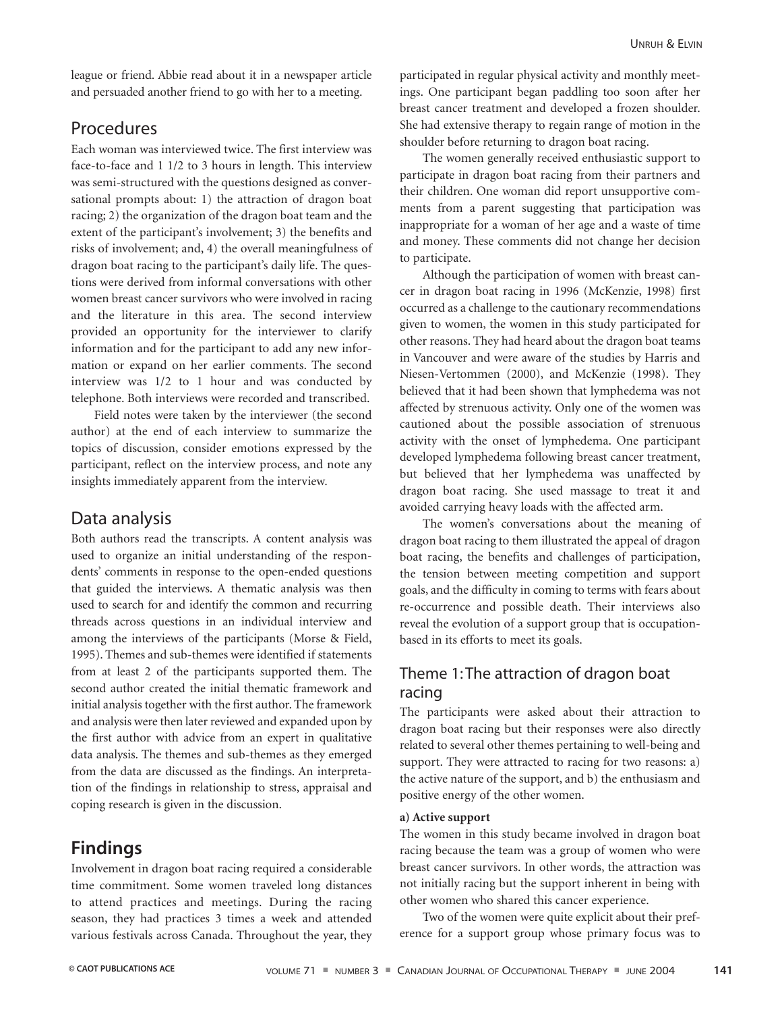league or friend. Abbie read about it in a newspaper article and persuaded another friend to go with her to a meeting.

### Procedures

Each woman was interviewed twice. The first interview was face-to-face and 1 1/2 to 3 hours in length. This interview was semi-structured with the questions designed as conversational prompts about: 1) the attraction of dragon boat racing; 2) the organization of the dragon boat team and the extent of the participant's involvement; 3) the benefits and risks of involvement; and, 4) the overall meaningfulness of dragon boat racing to the participant's daily life. The questions were derived from informal conversations with other women breast cancer survivors who were involved in racing and the literature in this area. The second interview provided an opportunity for the interviewer to clarify information and for the participant to add any new information or expand on her earlier comments. The second interview was 1/2 to 1 hour and was conducted by telephone. Both interviews were recorded and transcribed.

Field notes were taken by the interviewer (the second author) at the end of each interview to summarize the topics of discussion, consider emotions expressed by the participant, reflect on the interview process, and note any insights immediately apparent from the interview.

## Data analysis

Both authors read the transcripts. A content analysis was used to organize an initial understanding of the respondents' comments in response to the open-ended questions that guided the interviews. A thematic analysis was then used to search for and identify the common and recurring threads across questions in an individual interview and among the interviews of the participants (Morse & Field, 1995). Themes and sub-themes were identified if statements from at least 2 of the participants supported them. The second author created the initial thematic framework and initial analysis together with the first author. The framework and analysis were then later reviewed and expanded upon by the first author with advice from an expert in qualitative data analysis. The themes and sub-themes as they emerged from the data are discussed as the findings. An interpretation of the findings in relationship to stress, appraisal and coping research is given in the discussion.

## **Findings**

Involvement in dragon boat racing required a considerable time commitment. Some women traveled long distances to attend practices and meetings. During the racing season, they had practices 3 times a week and attended various festivals across Canada. Throughout the year, they

participated in regular physical activity and monthly meetings. One participant began paddling too soon after her breast cancer treatment and developed a frozen shoulder. She had extensive therapy to regain range of motion in the shoulder before returning to dragon boat racing.

The women generally received enthusiastic support to participate in dragon boat racing from their partners and their children. One woman did report unsupportive comments from a parent suggesting that participation was inappropriate for a woman of her age and a waste of time and money. These comments did not change her decision to participate.

Although the participation of women with breast cancer in dragon boat racing in 1996 (McKenzie, 1998) first occurred as a challenge to the cautionary recommendations given to women, the women in this study participated for other reasons. They had heard about the dragon boat teams in Vancouver and were aware of the studies by Harris and Niesen-Vertommen (2000), and McKenzie (1998). They believed that it had been shown that lymphedema was not affected by strenuous activity. Only one of the women was cautioned about the possible association of strenuous activity with the onset of lymphedema. One participant developed lymphedema following breast cancer treatment, but believed that her lymphedema was unaffected by dragon boat racing. She used massage to treat it and avoided carrying heavy loads with the affected arm.

The women's conversations about the meaning of dragon boat racing to them illustrated the appeal of dragon boat racing, the benefits and challenges of participation, the tension between meeting competition and support goals, and the difficulty in coming to terms with fears about re-occurrence and possible death. Their interviews also reveal the evolution of a support group that is occupationbased in its efforts to meet its goals.

### Theme 1: The attraction of dragon boat racing

The participants were asked about their attraction to dragon boat racing but their responses were also directly related to several other themes pertaining to well-being and support. They were attracted to racing for two reasons: a) the active nature of the support, and b) the enthusiasm and positive energy of the other women.

#### **a) Active support**

The women in this study became involved in dragon boat racing because the team was a group of women who were breast cancer survivors. In other words, the attraction was not initially racing but the support inherent in being with other women who shared this cancer experience.

Two of the women were quite explicit about their preference for a support group whose primary focus was to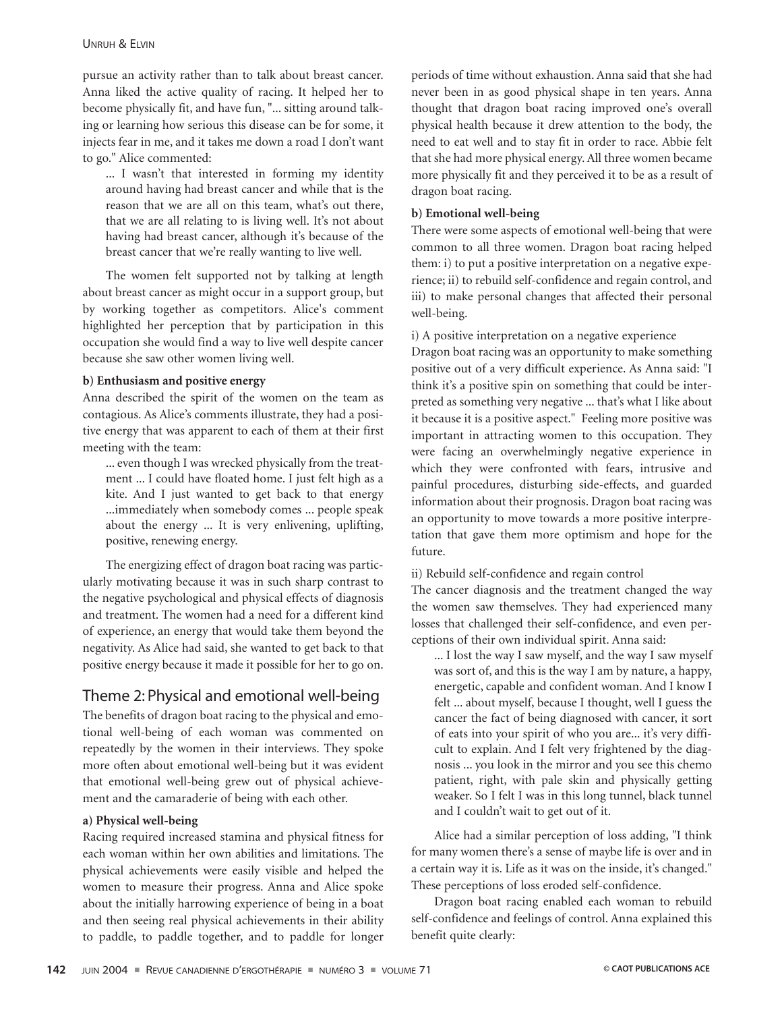pursue an activity rather than to talk about breast cancer. Anna liked the active quality of racing. It helped her to become physically fit, and have fun, "... sitting around talking or learning how serious this disease can be for some, it injects fear in me, and it takes me down a road I don't want to go." Alice commented:

... I wasn't that interested in forming my identity around having had breast cancer and while that is the reason that we are all on this team, what's out there, that we are all relating to is living well. It's not about having had breast cancer, although it's because of the breast cancer that we're really wanting to live well.

The women felt supported not by talking at length about breast cancer as might occur in a support group, but by working together as competitors. Alice's comment highlighted her perception that by participation in this occupation she would find a way to live well despite cancer because she saw other women living well.

#### **b) Enthusiasm and positive energy**

Anna described the spirit of the women on the team as contagious. As Alice's comments illustrate, they had a positive energy that was apparent to each of them at their first meeting with the team:

... even though I was wrecked physically from the treatment ... I could have floated home. I just felt high as a kite. And I just wanted to get back to that energy ...immediately when somebody comes ... people speak about the energy ... It is very enlivening, uplifting, positive, renewing energy.

The energizing effect of dragon boat racing was particularly motivating because it was in such sharp contrast to the negative psychological and physical effects of diagnosis and treatment. The women had a need for a different kind of experience, an energy that would take them beyond the negativity. As Alice had said, she wanted to get back to that positive energy because it made it possible for her to go on.

## Theme 2: Physical and emotional well-being

The benefits of dragon boat racing to the physical and emotional well-being of each woman was commented on repeatedly by the women in their interviews. They spoke more often about emotional well-being but it was evident that emotional well-being grew out of physical achievement and the camaraderie of being with each other.

#### **a) Physical well-being**

Racing required increased stamina and physical fitness for each woman within her own abilities and limitations. The physical achievements were easily visible and helped the women to measure their progress. Anna and Alice spoke about the initially harrowing experience of being in a boat and then seeing real physical achievements in their ability to paddle, to paddle together, and to paddle for longer periods of time without exhaustion. Anna said that she had never been in as good physical shape in ten years. Anna thought that dragon boat racing improved one's overall physical health because it drew attention to the body, the need to eat well and to stay fit in order to race. Abbie felt that she had more physical energy. All three women became more physically fit and they perceived it to be as a result of dragon boat racing.

#### **b) Emotional well-being**

There were some aspects of emotional well-being that were common to all three women. Dragon boat racing helped them: i) to put a positive interpretation on a negative experience; ii) to rebuild self-confidence and regain control, and iii) to make personal changes that affected their personal well-being.

i) A positive interpretation on a negative experience

Dragon boat racing was an opportunity to make something positive out of a very difficult experience. As Anna said: "I think it's a positive spin on something that could be interpreted as something very negative ... that's what I like about it because it is a positive aspect." Feeling more positive was important in attracting women to this occupation. They were facing an overwhelmingly negative experience in which they were confronted with fears, intrusive and painful procedures, disturbing side-effects, and guarded information about their prognosis. Dragon boat racing was an opportunity to move towards a more positive interpretation that gave them more optimism and hope for the future.

#### ii) Rebuild self-confidence and regain control

The cancer diagnosis and the treatment changed the way the women saw themselves. They had experienced many losses that challenged their self-confidence, and even perceptions of their own individual spirit. Anna said:

... I lost the way I saw myself, and the way I saw myself was sort of, and this is the way I am by nature, a happy, energetic, capable and confident woman. And I know I felt ... about myself, because I thought, well I guess the cancer the fact of being diagnosed with cancer, it sort of eats into your spirit of who you are... it's very difficult to explain. And I felt very frightened by the diagnosis ... you look in the mirror and you see this chemo patient, right, with pale skin and physically getting weaker. So I felt I was in this long tunnel, black tunnel and I couldn't wait to get out of it.

Alice had a similar perception of loss adding, "I think for many women there's a sense of maybe life is over and in a certain way it is. Life as it was on the inside, it's changed." These perceptions of loss eroded self-confidence.

Dragon boat racing enabled each woman to rebuild self-confidence and feelings of control. Anna explained this benefit quite clearly: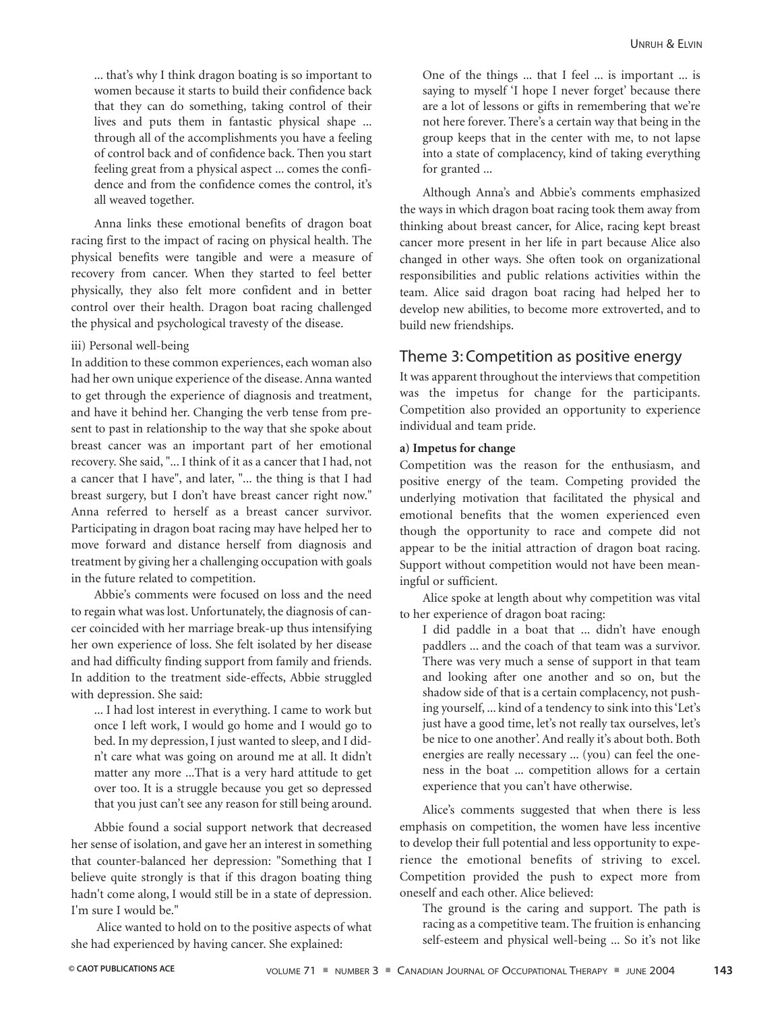... that's why I think dragon boating is so important to women because it starts to build their confidence back that they can do something, taking control of their lives and puts them in fantastic physical shape ... through all of the accomplishments you have a feeling of control back and of confidence back. Then you start feeling great from a physical aspect ... comes the confidence and from the confidence comes the control, it's all weaved together.

Anna links these emotional benefits of dragon boat racing first to the impact of racing on physical health. The physical benefits were tangible and were a measure of recovery from cancer. When they started to feel better physically, they also felt more confident and in better control over their health. Dragon boat racing challenged the physical and psychological travesty of the disease.

#### iii) Personal well-being

In addition to these common experiences, each woman also had her own unique experience of the disease. Anna wanted to get through the experience of diagnosis and treatment, and have it behind her. Changing the verb tense from present to past in relationship to the way that she spoke about breast cancer was an important part of her emotional recovery. She said, "... I think of it as a cancer that I had, not a cancer that I have", and later, "... the thing is that I had breast surgery, but I don't have breast cancer right now." Anna referred to herself as a breast cancer survivor. Participating in dragon boat racing may have helped her to move forward and distance herself from diagnosis and treatment by giving her a challenging occupation with goals in the future related to competition.

Abbie's comments were focused on loss and the need to regain what was lost. Unfortunately, the diagnosis of cancer coincided with her marriage break-up thus intensifying her own experience of loss. She felt isolated by her disease and had difficulty finding support from family and friends. In addition to the treatment side-effects, Abbie struggled with depression. She said:

... I had lost interest in everything. I came to work but once I left work, I would go home and I would go to bed. In my depression, I just wanted to sleep, and I didn't care what was going on around me at all. It didn't matter any more ...That is a very hard attitude to get over too. It is a struggle because you get so depressed that you just can't see any reason for still being around.

Abbie found a social support network that decreased her sense of isolation, and gave her an interest in something that counter-balanced her depression: "Something that I believe quite strongly is that if this dragon boating thing hadn't come along, I would still be in a state of depression. I'm sure I would be."

Alice wanted to hold on to the positive aspects of what she had experienced by having cancer. She explained:

One of the things ... that I feel ... is important ... is saying to myself 'I hope I never forget' because there are a lot of lessons or gifts in remembering that we're not here forever. There's a certain way that being in the group keeps that in the center with me, to not lapse into a state of complacency, kind of taking everything for granted ...

Although Anna's and Abbie's comments emphasized the ways in which dragon boat racing took them away from thinking about breast cancer, for Alice, racing kept breast cancer more present in her life in part because Alice also changed in other ways. She often took on organizational responsibilities and public relations activities within the team. Alice said dragon boat racing had helped her to develop new abilities, to become more extroverted, and to build new friendships.

#### Theme 3: Competition as positive energy

It was apparent throughout the interviews that competition was the impetus for change for the participants. Competition also provided an opportunity to experience individual and team pride.

#### **a) Impetus for change**

Competition was the reason for the enthusiasm, and positive energy of the team. Competing provided the underlying motivation that facilitated the physical and emotional benefits that the women experienced even though the opportunity to race and compete did not appear to be the initial attraction of dragon boat racing. Support without competition would not have been meaningful or sufficient.

Alice spoke at length about why competition was vital to her experience of dragon boat racing:

I did paddle in a boat that ... didn't have enough paddlers ... and the coach of that team was a survivor. There was very much a sense of support in that team and looking after one another and so on, but the shadow side of that is a certain complacency, not pushing yourself, ... kind of a tendency to sink into this 'Let's just have a good time, let's not really tax ourselves, let's be nice to one another'. And really it's about both. Both energies are really necessary ... (you) can feel the oneness in the boat ... competition allows for a certain experience that you can't have otherwise.

Alice's comments suggested that when there is less emphasis on competition, the women have less incentive to develop their full potential and less opportunity to experience the emotional benefits of striving to excel. Competition provided the push to expect more from oneself and each other. Alice believed:

The ground is the caring and support. The path is racing as a competitive team. The fruition is enhancing self-esteem and physical well-being ... So it's not like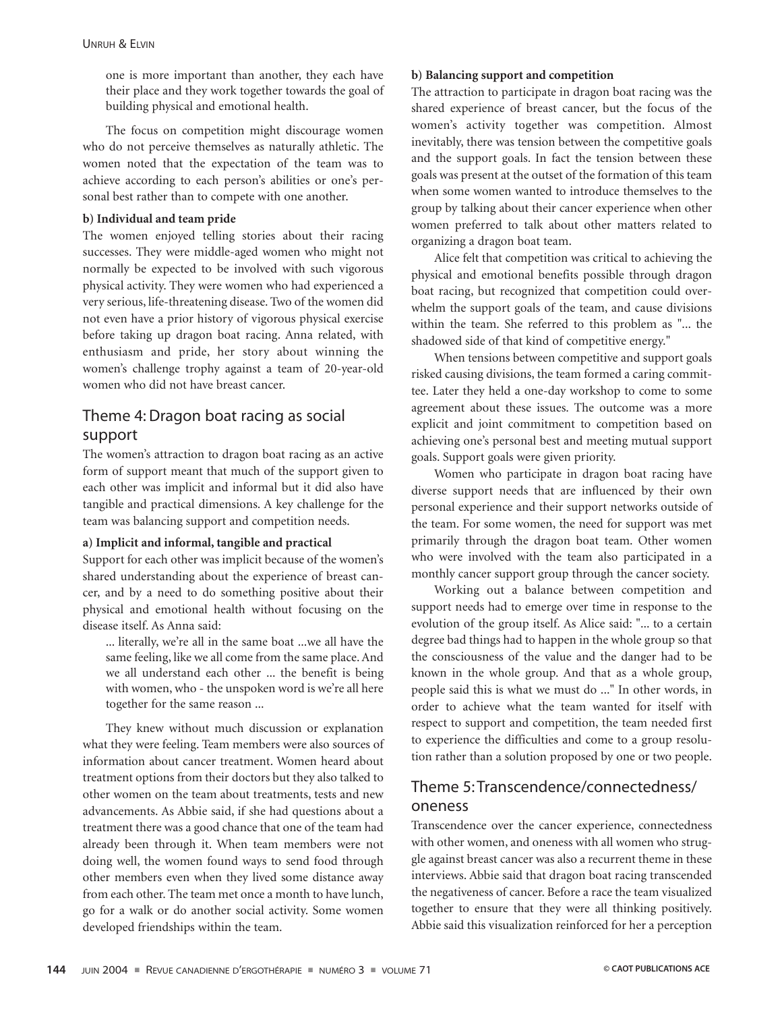one is more important than another, they each have their place and they work together towards the goal of building physical and emotional health.

The focus on competition might discourage women who do not perceive themselves as naturally athletic. The women noted that the expectation of the team was to achieve according to each person's abilities or one's personal best rather than to compete with one another.

#### **b) Individual and team pride**

The women enjoyed telling stories about their racing successes. They were middle-aged women who might not normally be expected to be involved with such vigorous physical activity. They were women who had experienced a very serious, life-threatening disease. Two of the women did not even have a prior history of vigorous physical exercise before taking up dragon boat racing. Anna related, with enthusiasm and pride, her story about winning the women's challenge trophy against a team of 20-year-old women who did not have breast cancer.

### Theme 4: Dragon boat racing as social support

The women's attraction to dragon boat racing as an active form of support meant that much of the support given to each other was implicit and informal but it did also have tangible and practical dimensions. A key challenge for the team was balancing support and competition needs.

#### **a) Implicit and informal, tangible and practical**

Support for each other was implicit because of the women's shared understanding about the experience of breast cancer, and by a need to do something positive about their physical and emotional health without focusing on the disease itself. As Anna said:

... literally, we're all in the same boat ...we all have the same feeling, like we all come from the same place. And we all understand each other ... the benefit is being with women, who - the unspoken word is we're all here together for the same reason ...

They knew without much discussion or explanation what they were feeling. Team members were also sources of information about cancer treatment. Women heard about treatment options from their doctors but they also talked to other women on the team about treatments, tests and new advancements. As Abbie said, if she had questions about a treatment there was a good chance that one of the team had already been through it. When team members were not doing well, the women found ways to send food through other members even when they lived some distance away from each other. The team met once a month to have lunch, go for a walk or do another social activity. Some women developed friendships within the team.

#### **b) Balancing support and competition**

The attraction to participate in dragon boat racing was the shared experience of breast cancer, but the focus of the women's activity together was competition. Almost inevitably, there was tension between the competitive goals and the support goals. In fact the tension between these goals was present at the outset of the formation of this team when some women wanted to introduce themselves to the group by talking about their cancer experience when other women preferred to talk about other matters related to organizing a dragon boat team.

Alice felt that competition was critical to achieving the physical and emotional benefits possible through dragon boat racing, but recognized that competition could overwhelm the support goals of the team, and cause divisions within the team. She referred to this problem as "... the shadowed side of that kind of competitive energy."

When tensions between competitive and support goals risked causing divisions, the team formed a caring committee. Later they held a one-day workshop to come to some agreement about these issues. The outcome was a more explicit and joint commitment to competition based on achieving one's personal best and meeting mutual support goals. Support goals were given priority.

Women who participate in dragon boat racing have diverse support needs that are influenced by their own personal experience and their support networks outside of the team. For some women, the need for support was met primarily through the dragon boat team. Other women who were involved with the team also participated in a monthly cancer support group through the cancer society.

Working out a balance between competition and support needs had to emerge over time in response to the evolution of the group itself. As Alice said: "... to a certain degree bad things had to happen in the whole group so that the consciousness of the value and the danger had to be known in the whole group. And that as a whole group, people said this is what we must do ..." In other words, in order to achieve what the team wanted for itself with respect to support and competition, the team needed first to experience the difficulties and come to a group resolution rather than a solution proposed by one or two people.

## Theme 5: Transcendence/connectedness/ oneness

Transcendence over the cancer experience, connectedness with other women, and oneness with all women who struggle against breast cancer was also a recurrent theme in these interviews. Abbie said that dragon boat racing transcended the negativeness of cancer. Before a race the team visualized together to ensure that they were all thinking positively. Abbie said this visualization reinforced for her a perception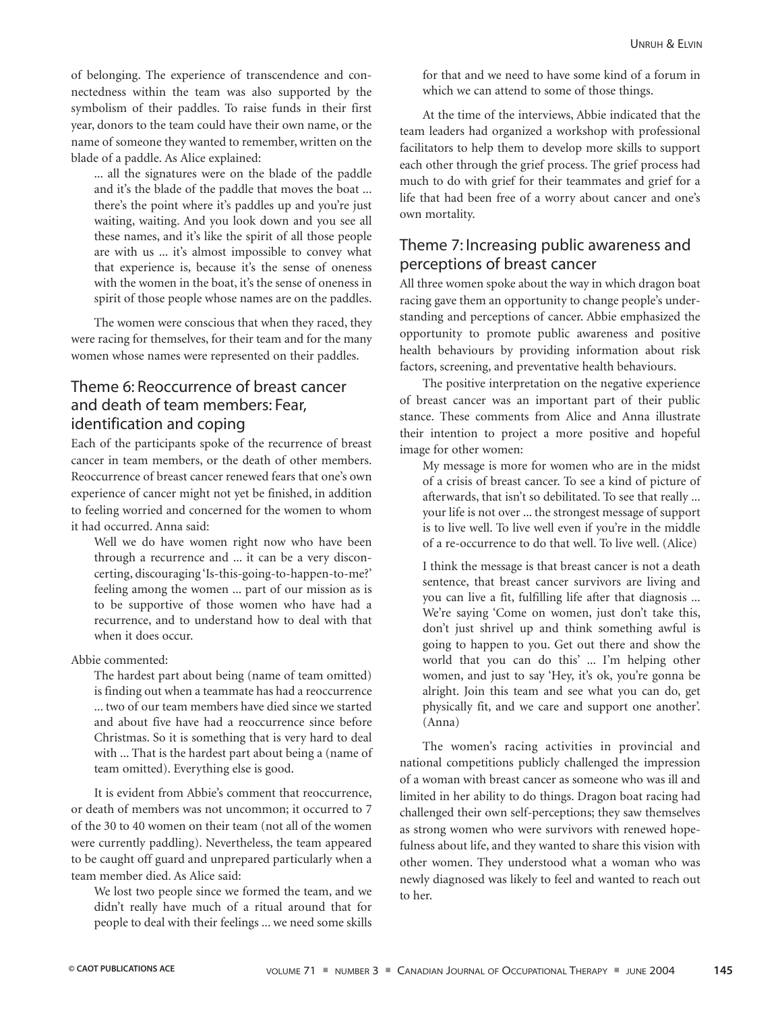of belonging. The experience of transcendence and connectedness within the team was also supported by the symbolism of their paddles. To raise funds in their first year, donors to the team could have their own name, or the name of someone they wanted to remember, written on the blade of a paddle. As Alice explained:

... all the signatures were on the blade of the paddle and it's the blade of the paddle that moves the boat ... there's the point where it's paddles up and you're just waiting, waiting. And you look down and you see all these names, and it's like the spirit of all those people are with us ... it's almost impossible to convey what that experience is, because it's the sense of oneness with the women in the boat, it's the sense of oneness in spirit of those people whose names are on the paddles.

The women were conscious that when they raced, they were racing for themselves, for their team and for the many women whose names were represented on their paddles.

## Theme 6: Reoccurrence of breast cancer and death of team members: Fear, identification and coping

Each of the participants spoke of the recurrence of breast cancer in team members, or the death of other members. Reoccurrence of breast cancer renewed fears that one's own experience of cancer might not yet be finished, in addition to feeling worried and concerned for the women to whom it had occurred. Anna said:

Well we do have women right now who have been through a recurrence and ... it can be a very disconcerting, discouraging 'Is-this-going-to-happen-to-me?' feeling among the women ... part of our mission as is to be supportive of those women who have had a recurrence, and to understand how to deal with that when it does occur.

Abbie commented:

The hardest part about being (name of team omitted) is finding out when a teammate has had a reoccurrence ... two of our team members have died since we started and about five have had a reoccurrence since before Christmas. So it is something that is very hard to deal with ... That is the hardest part about being a (name of team omitted). Everything else is good.

It is evident from Abbie's comment that reoccurrence, or death of members was not uncommon; it occurred to 7 of the 30 to 40 women on their team (not all of the women were currently paddling). Nevertheless, the team appeared to be caught off guard and unprepared particularly when a team member died. As Alice said:

We lost two people since we formed the team, and we didn't really have much of a ritual around that for people to deal with their feelings ... we need some skills for that and we need to have some kind of a forum in which we can attend to some of those things.

At the time of the interviews, Abbie indicated that the team leaders had organized a workshop with professional facilitators to help them to develop more skills to support each other through the grief process. The grief process had much to do with grief for their teammates and grief for a life that had been free of a worry about cancer and one's own mortality.

## Theme 7: Increasing public awareness and perceptions of breast cancer

All three women spoke about the way in which dragon boat racing gave them an opportunity to change people's understanding and perceptions of cancer. Abbie emphasized the opportunity to promote public awareness and positive health behaviours by providing information about risk factors, screening, and preventative health behaviours.

The positive interpretation on the negative experience of breast cancer was an important part of their public stance. These comments from Alice and Anna illustrate their intention to project a more positive and hopeful image for other women:

My message is more for women who are in the midst of a crisis of breast cancer. To see a kind of picture of afterwards, that isn't so debilitated. To see that really ... your life is not over ... the strongest message of support is to live well. To live well even if you're in the middle of a re-occurrence to do that well. To live well. (Alice)

I think the message is that breast cancer is not a death sentence, that breast cancer survivors are living and you can live a fit, fulfilling life after that diagnosis ... We're saying 'Come on women, just don't take this, don't just shrivel up and think something awful is going to happen to you. Get out there and show the world that you can do this' ... I'm helping other women, and just to say 'Hey, it's ok, you're gonna be alright. Join this team and see what you can do, get physically fit, and we care and support one another'. (Anna)

The women's racing activities in provincial and national competitions publicly challenged the impression of a woman with breast cancer as someone who was ill and limited in her ability to do things. Dragon boat racing had challenged their own self-perceptions; they saw themselves as strong women who were survivors with renewed hopefulness about life, and they wanted to share this vision with other women. They understood what a woman who was newly diagnosed was likely to feel and wanted to reach out to her.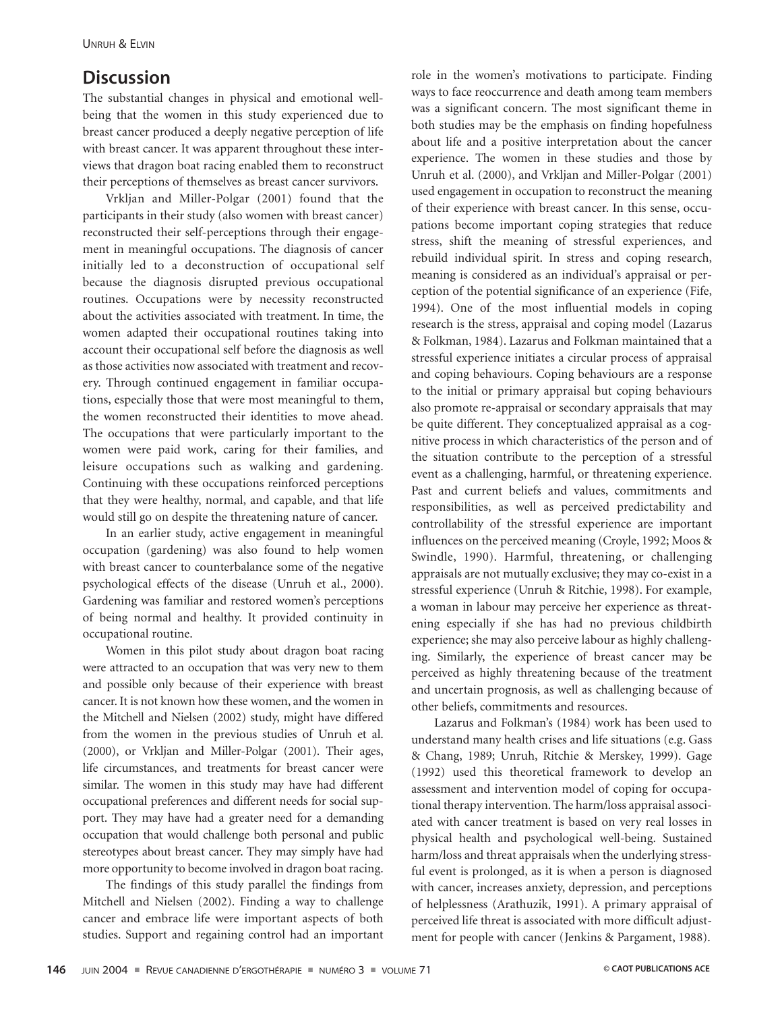## **Discussion**

The substantial changes in physical and emotional wellbeing that the women in this study experienced due to breast cancer produced a deeply negative perception of life with breast cancer. It was apparent throughout these interviews that dragon boat racing enabled them to reconstruct their perceptions of themselves as breast cancer survivors.

Vrkljan and Miller-Polgar (2001) found that the participants in their study (also women with breast cancer) reconstructed their self-perceptions through their engagement in meaningful occupations. The diagnosis of cancer initially led to a deconstruction of occupational self because the diagnosis disrupted previous occupational routines. Occupations were by necessity reconstructed about the activities associated with treatment. In time, the women adapted their occupational routines taking into account their occupational self before the diagnosis as well as those activities now associated with treatment and recovery. Through continued engagement in familiar occupations, especially those that were most meaningful to them, the women reconstructed their identities to move ahead. The occupations that were particularly important to the women were paid work, caring for their families, and leisure occupations such as walking and gardening. Continuing with these occupations reinforced perceptions that they were healthy, normal, and capable, and that life would still go on despite the threatening nature of cancer.

In an earlier study, active engagement in meaningful occupation (gardening) was also found to help women with breast cancer to counterbalance some of the negative psychological effects of the disease (Unruh et al., 2000). Gardening was familiar and restored women's perceptions of being normal and healthy. It provided continuity in occupational routine.

Women in this pilot study about dragon boat racing were attracted to an occupation that was very new to them and possible only because of their experience with breast cancer. It is not known how these women, and the women in the Mitchell and Nielsen (2002) study, might have differed from the women in the previous studies of Unruh et al. (2000), or Vrkljan and Miller-Polgar (2001). Their ages, life circumstances, and treatments for breast cancer were similar. The women in this study may have had different occupational preferences and different needs for social support. They may have had a greater need for a demanding occupation that would challenge both personal and public stereotypes about breast cancer. They may simply have had more opportunity to become involved in dragon boat racing.

The findings of this study parallel the findings from Mitchell and Nielsen (2002). Finding a way to challenge cancer and embrace life were important aspects of both studies. Support and regaining control had an important role in the women's motivations to participate. Finding ways to face reoccurrence and death among team members was a significant concern. The most significant theme in both studies may be the emphasis on finding hopefulness about life and a positive interpretation about the cancer experience. The women in these studies and those by Unruh et al. (2000), and Vrkljan and Miller-Polgar (2001) used engagement in occupation to reconstruct the meaning of their experience with breast cancer. In this sense, occupations become important coping strategies that reduce stress, shift the meaning of stressful experiences, and rebuild individual spirit. In stress and coping research, meaning is considered as an individual's appraisal or perception of the potential significance of an experience (Fife, 1994). One of the most influential models in coping research is the stress, appraisal and coping model (Lazarus & Folkman, 1984). Lazarus and Folkman maintained that a stressful experience initiates a circular process of appraisal and coping behaviours. Coping behaviours are a response to the initial or primary appraisal but coping behaviours also promote re-appraisal or secondary appraisals that may be quite different. They conceptualized appraisal as a cognitive process in which characteristics of the person and of the situation contribute to the perception of a stressful event as a challenging, harmful, or threatening experience. Past and current beliefs and values, commitments and responsibilities, as well as perceived predictability and controllability of the stressful experience are important influences on the perceived meaning (Croyle, 1992; Moos & Swindle, 1990). Harmful, threatening, or challenging appraisals are not mutually exclusive; they may co-exist in a stressful experience (Unruh & Ritchie, 1998). For example, a woman in labour may perceive her experience as threatening especially if she has had no previous childbirth experience; she may also perceive labour as highly challenging. Similarly, the experience of breast cancer may be perceived as highly threatening because of the treatment and uncertain prognosis, as well as challenging because of other beliefs, commitments and resources.

Lazarus and Folkman's (1984) work has been used to understand many health crises and life situations (e.g. Gass & Chang, 1989; Unruh, Ritchie & Merskey, 1999). Gage (1992) used this theoretical framework to develop an assessment and intervention model of coping for occupational therapy intervention. The harm/loss appraisal associated with cancer treatment is based on very real losses in physical health and psychological well-being. Sustained harm/loss and threat appraisals when the underlying stressful event is prolonged, as it is when a person is diagnosed with cancer, increases anxiety, depression, and perceptions of helplessness (Arathuzik, 1991). A primary appraisal of perceived life threat is associated with more difficult adjustment for people with cancer (Jenkins & Pargament, 1988).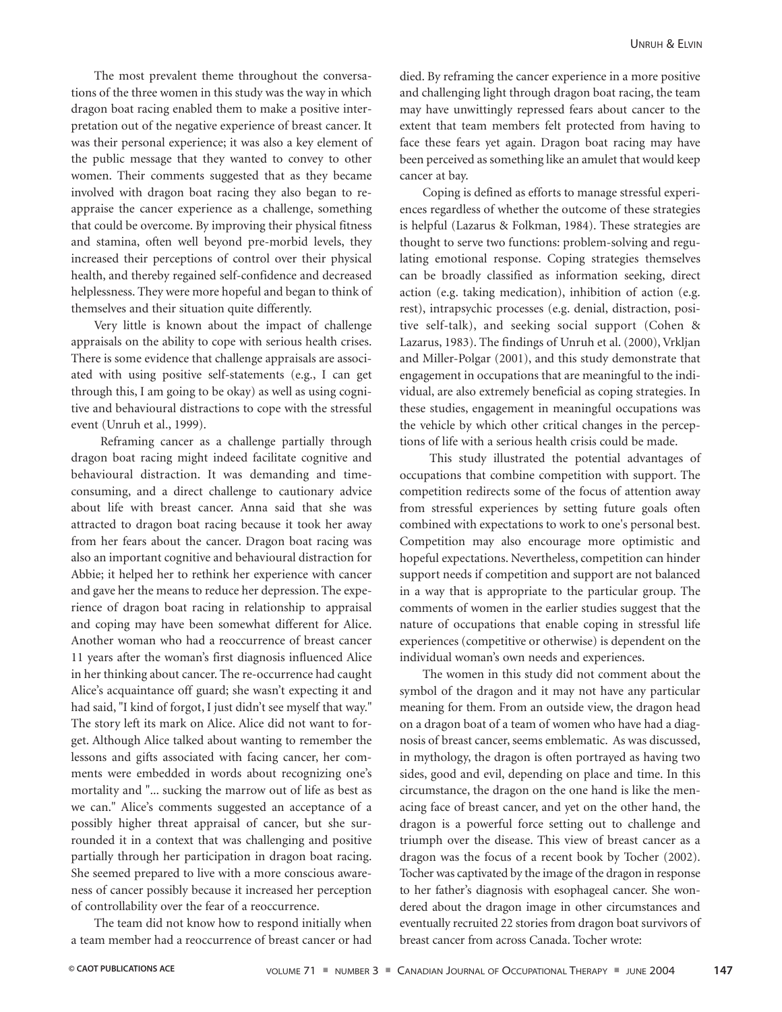The most prevalent theme throughout the conversations of the three women in this study was the way in which dragon boat racing enabled them to make a positive interpretation out of the negative experience of breast cancer. It was their personal experience; it was also a key element of the public message that they wanted to convey to other women. Their comments suggested that as they became involved with dragon boat racing they also began to reappraise the cancer experience as a challenge, something that could be overcome. By improving their physical fitness and stamina, often well beyond pre-morbid levels, they increased their perceptions of control over their physical health, and thereby regained self-confidence and decreased helplessness. They were more hopeful and began to think of themselves and their situation quite differently.

Very little is known about the impact of challenge appraisals on the ability to cope with serious health crises. There is some evidence that challenge appraisals are associated with using positive self-statements (e.g., I can get through this, I am going to be okay) as well as using cognitive and behavioural distractions to cope with the stressful event (Unruh et al., 1999).

Reframing cancer as a challenge partially through dragon boat racing might indeed facilitate cognitive and behavioural distraction. It was demanding and timeconsuming, and a direct challenge to cautionary advice about life with breast cancer. Anna said that she was attracted to dragon boat racing because it took her away from her fears about the cancer. Dragon boat racing was also an important cognitive and behavioural distraction for Abbie; it helped her to rethink her experience with cancer and gave her the means to reduce her depression. The experience of dragon boat racing in relationship to appraisal and coping may have been somewhat different for Alice. Another woman who had a reoccurrence of breast cancer 11 years after the woman's first diagnosis influenced Alice in her thinking about cancer. The re-occurrence had caught Alice's acquaintance off guard; she wasn't expecting it and had said, "I kind of forgot, I just didn't see myself that way." The story left its mark on Alice. Alice did not want to forget. Although Alice talked about wanting to remember the lessons and gifts associated with facing cancer, her comments were embedded in words about recognizing one's mortality and "... sucking the marrow out of life as best as we can." Alice's comments suggested an acceptance of a possibly higher threat appraisal of cancer, but she surrounded it in a context that was challenging and positive partially through her participation in dragon boat racing. She seemed prepared to live with a more conscious awareness of cancer possibly because it increased her perception of controllability over the fear of a reoccurrence.

The team did not know how to respond initially when a team member had a reoccurrence of breast cancer or had

died. By reframing the cancer experience in a more positive and challenging light through dragon boat racing, the team may have unwittingly repressed fears about cancer to the extent that team members felt protected from having to face these fears yet again. Dragon boat racing may have been perceived as something like an amulet that would keep cancer at bay.

Coping is defined as efforts to manage stressful experiences regardless of whether the outcome of these strategies is helpful (Lazarus & Folkman, 1984). These strategies are thought to serve two functions: problem-solving and regulating emotional response. Coping strategies themselves can be broadly classified as information seeking, direct action (e.g. taking medication), inhibition of action (e.g. rest), intrapsychic processes (e.g. denial, distraction, positive self-talk), and seeking social support (Cohen & Lazarus, 1983). The findings of Unruh et al. (2000), Vrkljan and Miller-Polgar (2001), and this study demonstrate that engagement in occupations that are meaningful to the individual, are also extremely beneficial as coping strategies. In these studies, engagement in meaningful occupations was the vehicle by which other critical changes in the perceptions of life with a serious health crisis could be made.

This study illustrated the potential advantages of occupations that combine competition with support. The competition redirects some of the focus of attention away from stressful experiences by setting future goals often combined with expectations to work to one's personal best. Competition may also encourage more optimistic and hopeful expectations. Nevertheless, competition can hinder support needs if competition and support are not balanced in a way that is appropriate to the particular group. The comments of women in the earlier studies suggest that the nature of occupations that enable coping in stressful life experiences (competitive or otherwise) is dependent on the individual woman's own needs and experiences.

The women in this study did not comment about the symbol of the dragon and it may not have any particular meaning for them. From an outside view, the dragon head on a dragon boat of a team of women who have had a diagnosis of breast cancer, seems emblematic. As was discussed, in mythology, the dragon is often portrayed as having two sides, good and evil, depending on place and time. In this circumstance, the dragon on the one hand is like the menacing face of breast cancer, and yet on the other hand, the dragon is a powerful force setting out to challenge and triumph over the disease. This view of breast cancer as a dragon was the focus of a recent book by Tocher (2002). Tocher was captivated by the image of the dragon in response to her father's diagnosis with esophageal cancer. She wondered about the dragon image in other circumstances and eventually recruited 22 stories from dragon boat survivors of breast cancer from across Canada. Tocher wrote: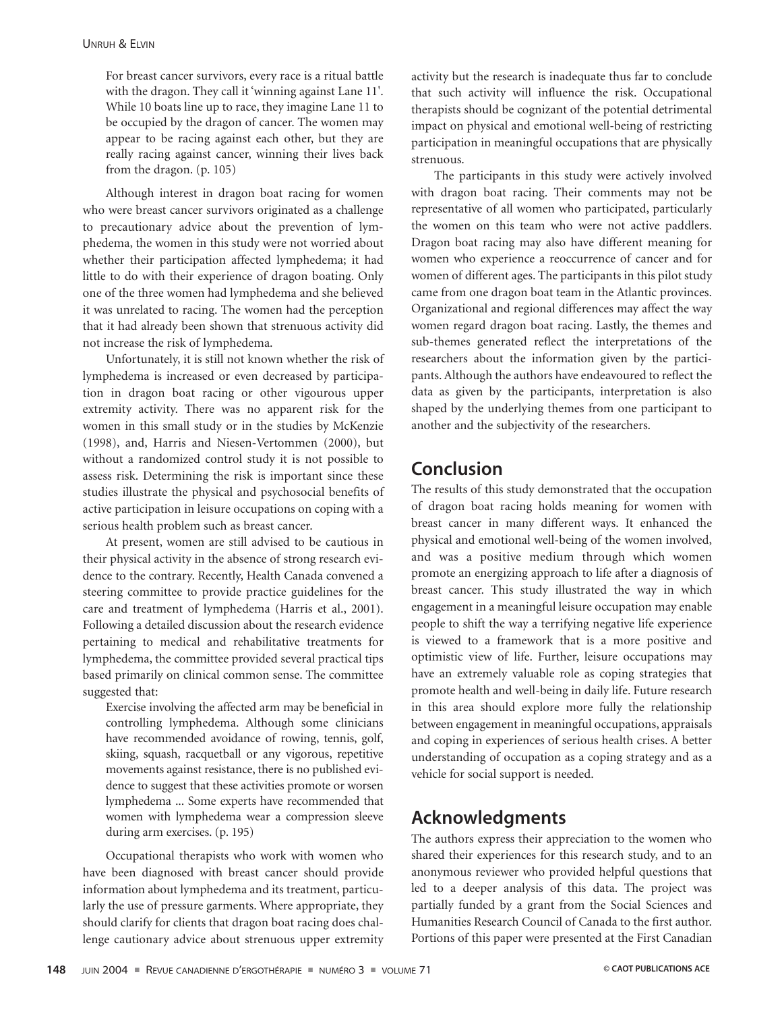For breast cancer survivors, every race is a ritual battle with the dragon. They call it 'winning against Lane 11'. While 10 boats line up to race, they imagine Lane 11 to be occupied by the dragon of cancer. The women may appear to be racing against each other, but they are really racing against cancer, winning their lives back from the dragon. (p. 105)

Although interest in dragon boat racing for women who were breast cancer survivors originated as a challenge to precautionary advice about the prevention of lymphedema, the women in this study were not worried about whether their participation affected lymphedema; it had little to do with their experience of dragon boating. Only one of the three women had lymphedema and she believed it was unrelated to racing. The women had the perception that it had already been shown that strenuous activity did not increase the risk of lymphedema.

Unfortunately, it is still not known whether the risk of lymphedema is increased or even decreased by participation in dragon boat racing or other vigourous upper extremity activity. There was no apparent risk for the women in this small study or in the studies by McKenzie (1998), and, Harris and Niesen-Vertommen (2000), but without a randomized control study it is not possible to assess risk. Determining the risk is important since these studies illustrate the physical and psychosocial benefits of active participation in leisure occupations on coping with a serious health problem such as breast cancer.

At present, women are still advised to be cautious in their physical activity in the absence of strong research evidence to the contrary. Recently, Health Canada convened a steering committee to provide practice guidelines for the care and treatment of lymphedema (Harris et al., 2001). Following a detailed discussion about the research evidence pertaining to medical and rehabilitative treatments for lymphedema, the committee provided several practical tips based primarily on clinical common sense. The committee suggested that:

Exercise involving the affected arm may be beneficial in controlling lymphedema. Although some clinicians have recommended avoidance of rowing, tennis, golf, skiing, squash, racquetball or any vigorous, repetitive movements against resistance, there is no published evidence to suggest that these activities promote or worsen lymphedema ... Some experts have recommended that women with lymphedema wear a compression sleeve during arm exercises. (p. 195)

Occupational therapists who work with women who have been diagnosed with breast cancer should provide information about lymphedema and its treatment, particularly the use of pressure garments. Where appropriate, they should clarify for clients that dragon boat racing does challenge cautionary advice about strenuous upper extremity activity but the research is inadequate thus far to conclude that such activity will influence the risk. Occupational therapists should be cognizant of the potential detrimental impact on physical and emotional well-being of restricting participation in meaningful occupations that are physically strenuous.

The participants in this study were actively involved with dragon boat racing. Their comments may not be representative of all women who participated, particularly the women on this team who were not active paddlers. Dragon boat racing may also have different meaning for women who experience a reoccurrence of cancer and for women of different ages. The participants in this pilot study came from one dragon boat team in the Atlantic provinces. Organizational and regional differences may affect the way women regard dragon boat racing. Lastly, the themes and sub-themes generated reflect the interpretations of the researchers about the information given by the participants. Although the authors have endeavoured to reflect the data as given by the participants, interpretation is also shaped by the underlying themes from one participant to another and the subjectivity of the researchers.

## **Conclusion**

The results of this study demonstrated that the occupation of dragon boat racing holds meaning for women with breast cancer in many different ways. It enhanced the physical and emotional well-being of the women involved, and was a positive medium through which women promote an energizing approach to life after a diagnosis of breast cancer. This study illustrated the way in which engagement in a meaningful leisure occupation may enable people to shift the way a terrifying negative life experience is viewed to a framework that is a more positive and optimistic view of life. Further, leisure occupations may have an extremely valuable role as coping strategies that promote health and well-being in daily life. Future research in this area should explore more fully the relationship between engagement in meaningful occupations, appraisals and coping in experiences of serious health crises. A better understanding of occupation as a coping strategy and as a vehicle for social support is needed.

## **Acknowledgments**

The authors express their appreciation to the women who shared their experiences for this research study, and to an anonymous reviewer who provided helpful questions that led to a deeper analysis of this data. The project was partially funded by a grant from the Social Sciences and Humanities Research Council of Canada to the first author. Portions of this paper were presented at the First Canadian